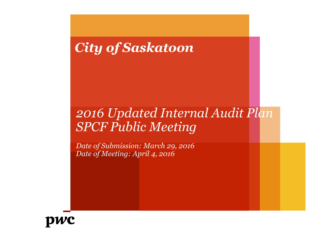# *City of Saskatoon*

# *2016 Updated Internal Audit Plan SPCF Public Meeting*

*Date of Submission: March 29, 2016 Date of Meeting: April 4, 2016*

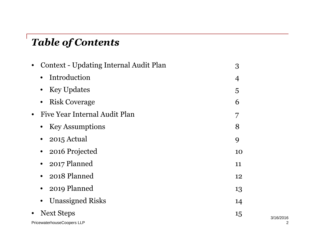# *Table of Contents*

| <b>Context - Updating Internal Audit Plan</b><br>$\bullet$ | 3  |
|------------------------------------------------------------|----|
| Introduction                                               | 4  |
| <b>Key Updates</b>                                         | 5  |
| <b>Risk Coverage</b><br>$\bullet$                          | 6  |
| Five Year Internal Audit Plan<br>$\bullet$                 | 7  |
| <b>Key Assumptions</b>                                     | 8  |
| 2015 Actual                                                | 9  |
| 2016 Projected                                             | 10 |
| 2017 Planned                                               | 11 |
| • 2018 Planned                                             | 12 |
| 2019 Planned                                               | 13 |
| <b>Unassigned Risks</b>                                    | 14 |
| <b>Next Steps</b><br>$\bullet$                             | 15 |
| PricewaterhouseCoopers LLP                                 |    |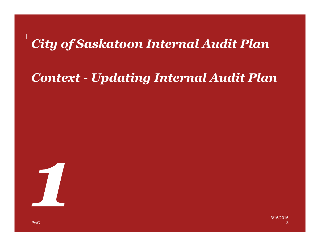# *City of Saskatoon Internal Audit Plan*

# *Context - Updating Internal Audit Plan*

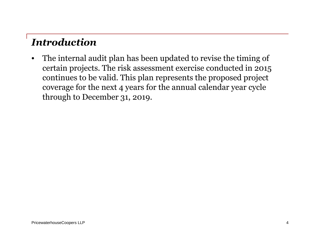### *Introduction*

• The internal audit plan has been updated to revise the timing of certain projects. The risk assessment exercise conducted in 2015 continues to be valid. This plan represents the proposed project coverage for the next 4 years for the annual calendar year cycle through to December 31, 2019.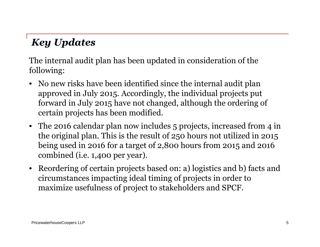# *Key Updates*

The internal audit plan has been updated in consideration of the following:

- No new risks have been identified since the internal audit plan approved in July 2015. Accordingly, the individual projects put forward in July 2015 have not changed, although the ordering of certain projects has been modified.
- The 2016 calendar plan now includes 5 projects, increased from 4 in the original plan. This is the result of 250 hours not utilized in 2015 being used in 2016 for a target of 2,800 hours from 2015 and 2016 combined (i.e. 1,400 per year).
- Reordering of certain projects based on: a) logistics and b) facts and circumstances impacting ideal timing of projects in order to maximize usefulness of project to stakeholders and SPCF.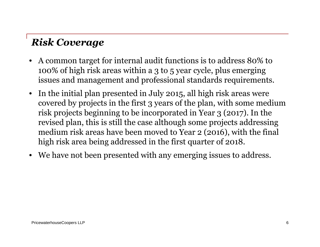## *Risk Coverage*

- A common target for internal audit functions is to address 80% to 100% of high risk areas within a 3 to 5 year cycle, plus emerging issues and management and professional standards requirements.
- In the initial plan presented in July 2015, all high risk areas were covered by projects in the first 3 years of the plan, with some medium risk projects beginning to be incorporated in Year 3 (2017). In the revised plan, this is still the case although some projects addressing medium risk areas have been moved to Year 2 (2016), with the final high risk area being addressed in the first quarter of 2018.
- We have not been presented with any emerging issues to address.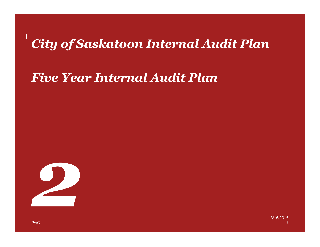# *City of Saskatoon Internal Audit Plan*

## *Five Year Internal Audit Plan*

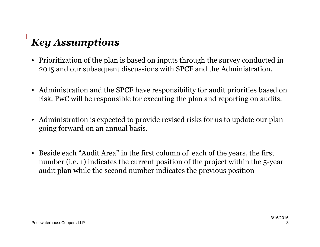## *Key Assumptions*

- Prioritization of the plan is based on inputs through the survey conducted in 2015 and our subsequent discussions with SPCF and the Administration.
- Administration and the SPCF have responsibility for audit priorities based on risk. PwC will be responsible for executing the plan and reporting on audits.
- Administration is expected to provide revised risks for us to update our plan going forward on an annual basis.
- Beside each "Audit Area" in the first column of each of the years, the first number (i.e. 1) indicates the current position of the project within the 5-year audit plan while the second number indicates the previous position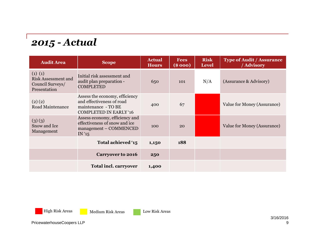#### *2015 - Actual*

| <b>Audit Area</b>                                                         | <b>Scope</b>                                                                                                        | <b>Actual</b><br><b>Hours</b> | <b>Fees</b><br>(\$000) | <b>Risk</b><br><b>Level</b> | <b>Type of Audit / Assurance</b><br>/ Advisory |
|---------------------------------------------------------------------------|---------------------------------------------------------------------------------------------------------------------|-------------------------------|------------------------|-----------------------------|------------------------------------------------|
| (1) (1)<br><b>Risk Assessment and</b><br>Council Surveys/<br>Presentation | Initial risk assessment and<br>audit plan preparation -<br><b>COMPLETED</b>                                         | 650                           | 101                    | N/A                         | (Assurance & Advisory)                         |
| (2)(2)<br>Road Maintenance                                                | Assess the economy, efficiency<br>and effectiveness of road<br>maintenance - TO BE<br><b>COMPLETED IN EARLY '16</b> | 400                           | 67                     |                             | Value for Money (Assurance)                    |
| (3)(3)<br>Snow and Ice<br>Management                                      | Assess economy, efficiency and<br>effectiveness of snow and ice<br>management – COMMENCED<br>IN'15                  | 100                           | 20                     |                             | Value for Money (Assurance)                    |
|                                                                           | Total achieved '15                                                                                                  | 1,150                         | 188                    |                             |                                                |
|                                                                           | <b>Carryover to 2016</b>                                                                                            | 250                           |                        |                             |                                                |
|                                                                           | <b>Total incl. carryover</b>                                                                                        | 1,400                         |                        |                             |                                                |

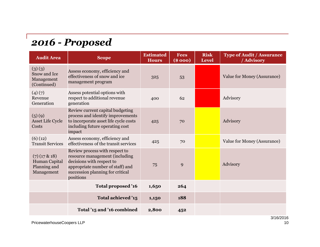#### *2016 - Proposed*

| <b>Audit Area</b>                                              | <b>Scope</b>                                                                                                                                                                       | <b>Estimated</b><br><b>Hours</b> | <b>Fees</b><br>(\$000) | <b>Risk</b><br><b>Level</b> | <b>Type of Audit / Assurance</b><br>/ Advisory |  |
|----------------------------------------------------------------|------------------------------------------------------------------------------------------------------------------------------------------------------------------------------------|----------------------------------|------------------------|-----------------------------|------------------------------------------------|--|
| (3)(3)<br>Snow and Ice<br>Management<br>(Continued)            | Assess economy, efficiency and<br>effectiveness of snow and ice<br>management program                                                                                              | 325                              | 53                     |                             | Value for Money (Assurance)                    |  |
| (4)(7)<br>Revenue<br>Generation                                | Assess potential options with<br>respect to additional revenue<br>generation                                                                                                       | 400                              | 62                     |                             | Advisory                                       |  |
| (5)(9)<br><b>Asset Life Cycle</b><br>Costs                     | Review current capital budgeting<br>process and identify improvements<br>to incorporate asset life cycle costs<br>including future operating cost<br>impact                        | 425                              | 70                     |                             | Advisory                                       |  |
| (6)(12)<br><b>Transit Services</b>                             | Assess economy, efficiency and<br>effectiveness of the transit services                                                                                                            | 425                              | 70                     |                             | Value for Money (Assurance)                    |  |
| $(7)(17 \& 18)$<br>Human Capital<br>Planning and<br>Management | Review process with respect to<br>resource management (including<br>decisions with respect to<br>appropriate number of staff) and<br>succession planning for critical<br>positions | 75                               | 9                      |                             | Advisory                                       |  |
|                                                                | Total proposed '16                                                                                                                                                                 | 1,650                            | 264                    |                             |                                                |  |
|                                                                | Total achieved '15                                                                                                                                                                 | 1,150                            | 188                    |                             |                                                |  |
|                                                                | Total '15 and '16 combined                                                                                                                                                         | 2,800                            | 452                    |                             |                                                |  |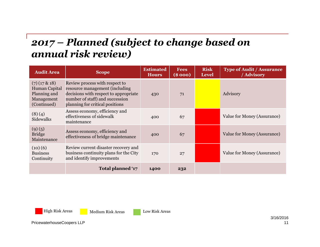#### *2017 – Planned (subject to change based on annual risk review)*

| <b>Audit Area</b>                                                             | <b>Scope</b>                                                                                                                                                                    | <b>Estimated</b><br><b>Hours</b> | <b>Fees</b><br>(\$000) | <b>Risk</b><br><b>Level</b> | <b>Type of Audit / Assurance</b><br>/ Advisory |
|-------------------------------------------------------------------------------|---------------------------------------------------------------------------------------------------------------------------------------------------------------------------------|----------------------------------|------------------------|-----------------------------|------------------------------------------------|
| $(7)(17 \& 18)$<br>Human Capital<br>Planning and<br>Management<br>(Continued) | Review process with respect to<br>resource management (including<br>decisions with respect to appropriate<br>number of staff) and succession<br>planning for critical positions | 430                              | 71                     |                             | Advisory                                       |
| (8)(4)<br>Sidewalks                                                           | Assess economy, efficiency and<br>effectiveness of sidewalk<br>maintenance                                                                                                      | 400                              | 67                     |                             | Value for Money (Assurance)                    |
| (9)(5)<br><b>Bridge</b><br>Maintenance                                        | Assess economy, efficiency and<br>effectiveness of bridge maintenance                                                                                                           | 400                              | 67                     |                             | Value for Money (Assurance)                    |
| (10)(6)<br><b>Business</b><br>Continuity                                      | Review current disaster recovery and<br>business continuity plans for the City<br>and identify improvements                                                                     | 170                              | 27                     |                             | Value for Money (Assurance)                    |
|                                                                               | Total planned '17                                                                                                                                                               | 1400                             | 232                    |                             |                                                |



High Risk Areas Medium Risk Areas Low Risk Areas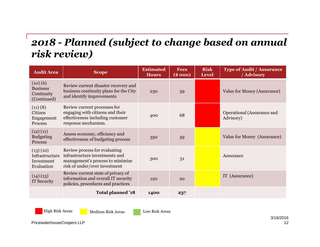#### *2018 - Planned (subject to change based on annual risk review)*

| <b>Audit Area</b>                                       | <b>Scope</b>                                                                                                                         | <b>Estimated</b><br><b>Hours</b> | <b>Fees</b><br>(\$ 000) | <b>Risk</b><br><b>Level</b> | <b>Type of Audit / Assurance</b><br>/ Advisory |
|---------------------------------------------------------|--------------------------------------------------------------------------------------------------------------------------------------|----------------------------------|-------------------------|-----------------------------|------------------------------------------------|
| (10)(6)<br><b>Business</b><br>Continuity<br>(Continued) | Review current disaster recovery and<br>business continuity plans for the City<br>and identify improvements                          | 230                              | 39                      |                             | Value for Money (Assurance)                    |
| (11)(8)<br>Citizen<br>Engagement<br>Process             | Review current processes for<br>engaging with citizens and their<br>effectiveness including customer<br>response mechanism.          | 400                              | 68                      |                             | Operational (Assurance and<br>Advisory)        |
| (12)(11)<br><b>Budgeting</b><br>Process                 | Assess economy, efficiency and<br>effectiveness of budgeting process                                                                 | 350                              | 59                      |                             | Value for Money (Assurance)                    |
| (13)(10)<br>Infrastructure<br>Investment<br>Evaluation  | Review process for evaluating<br>infrastructure investments and<br>management's process to minimize<br>risk of under/over investment | 300                              | 51                      |                             | Assurance                                      |
| (14)(13)<br>IT Security                                 | Review current state of privacy of<br>information and overall IT security<br>policies, procedures and practices                      | 120                              | 20                      |                             | IT (Assurance)                                 |
|                                                         | Total planned '18                                                                                                                    | 1400                             | 237                     |                             |                                                |



High Risk Areas Medium Risk Areas Low Risk Areas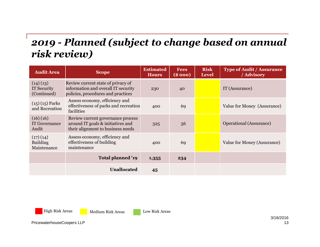#### *2019 - Planned (subject to change based on annual risk review)*

| <b>Audit Area</b>                          | <b>Scope</b>                                                                                                    | <b>Estimated</b><br><b>Hours</b> | <b>Fees</b><br>(\$000) | <b>Risk</b><br><b>Level</b> | <b>Type of Audit / Assurance</b><br>/ Advisory |
|--------------------------------------------|-----------------------------------------------------------------------------------------------------------------|----------------------------------|------------------------|-----------------------------|------------------------------------------------|
| (14)(13)<br>IT Security<br>(Continued)     | Review current state of privacy of<br>information and overall IT security<br>policies, procedures and practices | 230                              | 40                     |                             | IT (Assurance)                                 |
| $(15)(15)$ Parks<br>and Recreation         | Assess economy, efficiency and<br>effectiveness of parks and recreation<br>facilities                           | 400                              | 69                     |                             | Value for Money (Assurance)                    |
| (16)(16)<br><b>IT Governance</b><br>Audit  | Review current governance process<br>around IT goals & initiatives and<br>their alignment to business needs     | 325                              | 56                     |                             | Operational (Assurance)                        |
| (17)(14)<br><b>Building</b><br>Maintenance | Assess economy, efficiency and<br>effectiveness of building<br>maintenance                                      | 400                              | 69                     |                             | Value for Money (Assurance)                    |
|                                            | Total planned '19                                                                                               | 1,355                            | 234                    |                             |                                                |
|                                            | <b>Unallocated</b>                                                                                              | 45                               |                        |                             |                                                |



High Risk Areas Medium Risk Areas Low Risk Areas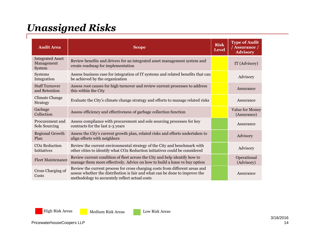## *Unassigned Risks*

| <b>Audit Area</b>                               | <b>Scope</b>                                                                                                                                                                                                  | <b>Risk</b><br><b>Level</b> | <b>Type of Audit</b><br>/ Assurance /<br><b>Advisory</b> |
|-------------------------------------------------|---------------------------------------------------------------------------------------------------------------------------------------------------------------------------------------------------------------|-----------------------------|----------------------------------------------------------|
| <b>Integrated Asset</b><br>Management<br>System | Review benefits and drivers for an integrated asset management system and<br>create roadmap for implementation                                                                                                |                             | IT (Advisory)                                            |
| Systems<br>Integration                          | Assess business case for integration of IT systems and related benefits that can<br>be achieved by the organization                                                                                           |                             | Advisory                                                 |
| <b>Staff Turnover</b><br>and Retention          | Assess root causes for high turnover and review current processes to address<br>this within the City                                                                                                          |                             | Assurance                                                |
| <b>Climate Change</b><br>Strategy               | Evaluate the City's climate change strategy and efforts to manage related risks                                                                                                                               |                             | Assurance                                                |
| Garbage<br>Collection                           | Assess efficiency and effectiveness of garbage collection function                                                                                                                                            |                             | Value for Money<br>(Assurance)                           |
| Procurement and<br>Sole Sourcing                | Assess compliance with procurement and sole sourcing processes for key<br>contracts for the last 2-3 years                                                                                                    |                             | Assurance                                                |
| <b>Regional Growth</b><br>Plan                  | Assess the City's current growth plan, related risks and efforts undertaken to<br>align efforts with neighbors                                                                                                |                             | Advisory                                                 |
| CO <sub>2</sub> Reduction<br><b>Initiatives</b> | Review the current environmental strategy of the City and benchmark with<br>other cities to identify what CO2 Reduction initiatives could be considered                                                       |                             | Advisory                                                 |
| <b>Fleet Maintenance</b>                        | Review current condition of fleet across the City and help identify how to<br>manage them more effectively. Advice on how to build a lease vs buy option                                                      |                             | Operational<br>(Advisory)                                |
| Cross Charging of<br>Costs                      | Review the current process for cross charging costs from different areas and<br>assess whether the distribution is fair and what can be done to improve the<br>methodology to accurately reflect actual costs |                             | Assurance                                                |

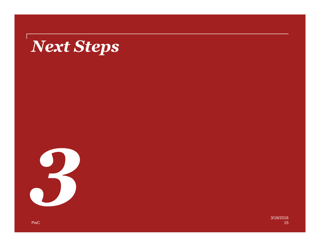# *Next Steps*